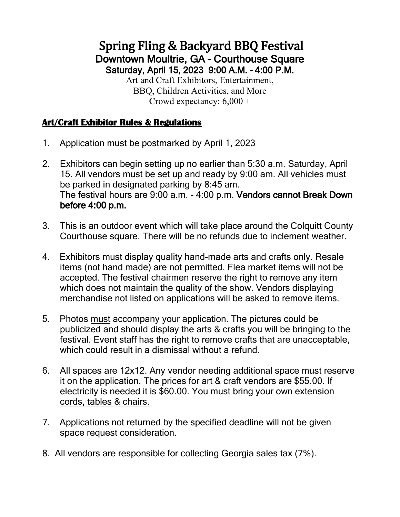# Spring Fling & Backyard BBQ Festival Downtown Moultrie, GA – Courthouse Square Saturday, April 15, 2023 9:00 A.M. – 4:00 P.M.

Art and Craft Exhibitors, Entertainment, BBQ, Children Activities, and More Crowd expectancy: 6,000 +

### **Art/Craft Exhibitor Rules & Regulations**

- 1. Application must be postmarked by April 1, 2023
- 2. Exhibitors can begin setting up no earlier than 5:30 a.m. Saturday, April 15. All vendors must be set up and ready by 9:00 am. All vehicles must be parked in designated parking by 8:45 am. The festival hours are 9:00 a.m. - 4:00 p.m. Vendors cannot Break Down before 4:00 p.m.
- 3. This is an outdoor event which will take place around the Colquitt County Courthouse square. There will be no refunds due to inclement weather.
- 4. Exhibitors must display quality hand-made arts and crafts only. Resale items (not hand made) are not permitted. Flea market items will not be accepted. The festival chairmen reserve the right to remove any item which does not maintain the quality of the show. Vendors displaying merchandise not listed on applications will be asked to remove items.
- 5. Photos must accompany your application. The pictures could be publicized and should display the arts & crafts you will be bringing to the festival. Event staff has the right to remove crafts that are unacceptable, which could result in a dismissal without a refund.
- 6. All spaces are 12x12. Any vendor needing additional space must reserve it on the application. The prices for art & craft vendors are \$55.00. If electricity is needed it is \$60.00. You must bring your own extension cords, tables & chairs.
- 7. Applications not returned by the specified deadline will not be given space request consideration.
- 8. All vendors are responsible for collecting Georgia sales tax (7%).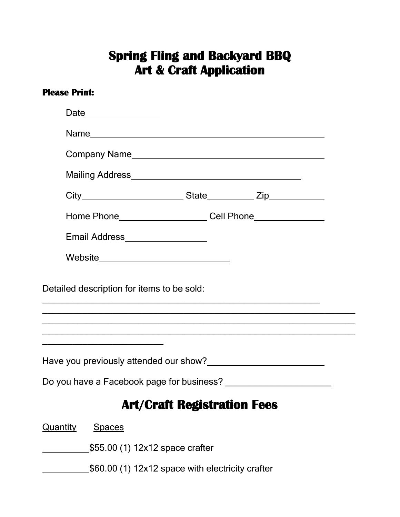## **Spring Fling and Backyard BBQ Art & Craft Application**

#### **Please Print:**

|                                  | Home Phone _______________________Cell Phone ___________________________________                                                                                                                                                     |  |
|----------------------------------|--------------------------------------------------------------------------------------------------------------------------------------------------------------------------------------------------------------------------------------|--|
|                                  | Email Address__________________                                                                                                                                                                                                      |  |
|                                  | Website________________________________                                                                                                                                                                                              |  |
|                                  | ,我们也不能在这里的时候,我们也不能在这里的时候,我们也不能会在这里的时候,我们也不能会在这里的时候,我们也不能会在这里的时候,我们也不能会在这里的时候,我们也不                                                                                                                                                    |  |
|                                  |                                                                                                                                                                                                                                      |  |
|                                  | Have you previously attended our show?<br><u>Letter and the manual surface</u> and the view of the state of the state of the state of the state of the state of the state of the state of the state of the state of the state of the |  |
|                                  |                                                                                                                                                                                                                                      |  |
|                                  | <b>Art/Craft Registration Fees</b>                                                                                                                                                                                                   |  |
| <b>Quantity</b><br><b>Spaces</b> |                                                                                                                                                                                                                                      |  |
|                                  | \$55.00 (1) 12x12 space crafter                                                                                                                                                                                                      |  |
|                                  | \$60.00 (1) 12x12 space with electricity crafter                                                                                                                                                                                     |  |